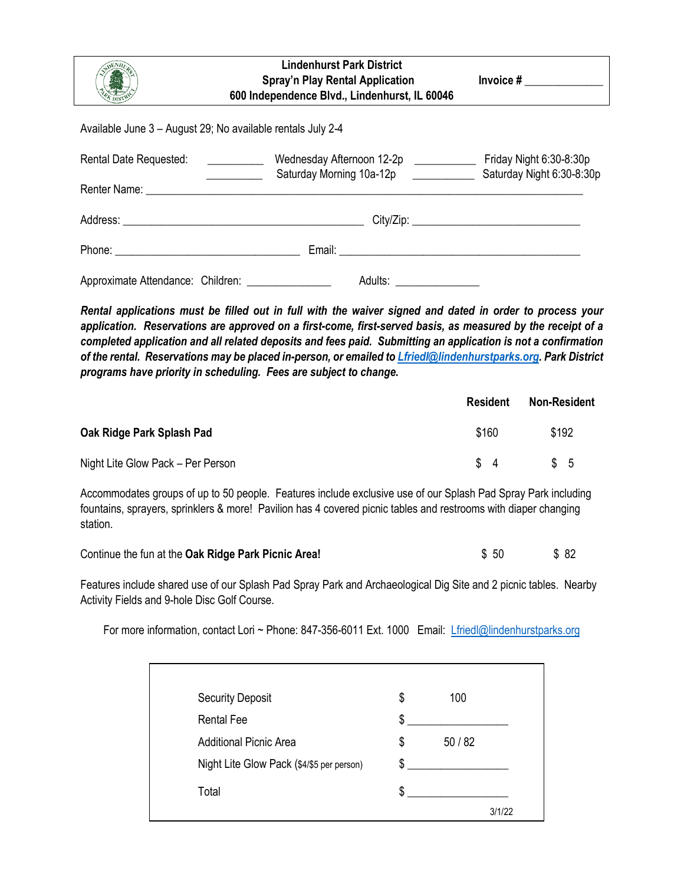|                                                                                                                                                                                                                                | <b>Lindenhurst Park District</b><br>Spray'n Play Rental Application<br>600 Independence Blvd., Lindenhurst, IL 60046                                                                                                                 | Invoice $\#$ _______________                         |
|--------------------------------------------------------------------------------------------------------------------------------------------------------------------------------------------------------------------------------|--------------------------------------------------------------------------------------------------------------------------------------------------------------------------------------------------------------------------------------|------------------------------------------------------|
| Available June 3 - August 29; No available rentals July 2-4                                                                                                                                                                    |                                                                                                                                                                                                                                      |                                                      |
| Rental Date Requested:                                                                                                                                                                                                         | Wednesday Afternoon 12-2p ___________<br>Saturday Morning 10a-12p                                                                                                                                                                    | Friday Night 6:30-8:30p<br>Saturday Night 6:30-8:30p |
| Renter Name: The contract of the contract of the contract of the contract of the contract of the contract of the contract of the contract of the contract of the contract of the contract of the contract of the contract of t | <u>and the company of the company of the company of the company of the company of the company of the company of the company of the company of the company of the company of the company of the company of the company of the com</u> |                                                      |
|                                                                                                                                                                                                                                |                                                                                                                                                                                                                                      |                                                      |
|                                                                                                                                                                                                                                |                                                                                                                                                                                                                                      |                                                      |

Approximate Attendance: Children: \_\_\_\_\_\_\_\_\_\_\_\_\_\_\_\_\_\_\_\_\_\_\_ Adults: \_\_\_\_\_\_\_\_\_\_\_\_\_\_

*Rental applications must be filled out in full with the waiver signed and dated in order to process your application. Reservations are approved on a first-come, first-served basis, as measured by the receipt of a completed application and all related deposits and fees paid. Submitting an application is not a confirmation of the rental. Reservations may be placed in-person, or emailed to [Lfriedl@lindenhurstparks.org.](mailto:Lfriedl@lindenhurstparks.org) Park District programs have priority in scheduling. Fees are subject to change.* 

|                                   | Resident | <b>Non-Resident</b> |
|-----------------------------------|----------|---------------------|
| Oak Ridge Park Splash Pad         | \$160    | \$192               |
| Night Lite Glow Pack - Per Person | \$4      | $\frac{1}{5}$       |

Accommodates groups of up to 50 people. Features include exclusive use of our Splash Pad Spray Park including fountains, sprayers, sprinklers & more! Pavilion has 4 covered picnic tables and restrooms with diaper changing station.

| Continue the fun at the Oak Ridge Park Picnic Area! | \$50 | \$82 |
|-----------------------------------------------------|------|------|
|-----------------------------------------------------|------|------|

Features include shared use of our Splash Pad Spray Park and Archaeological Dig Site and 2 picnic tables. Nearby Activity Fields and 9-hole Disc Golf Course.

For more information, contact Lori ~ Phone: 847-356-6011 Ext. 1000 Email: [Lfriedl@lindenhurstparks.org](mailto:Lfriedl@lindenhurstparks.org)

| <b>Security Deposit</b>                   | \$<br>100   |
|-------------------------------------------|-------------|
| <b>Rental Fee</b>                         | \$          |
| <b>Additional Picnic Area</b>             | \$<br>50/82 |
| Night Lite Glow Pack (\$4/\$5 per person) | \$          |
| Total                                     | \$          |
|                                           | 3/1/22      |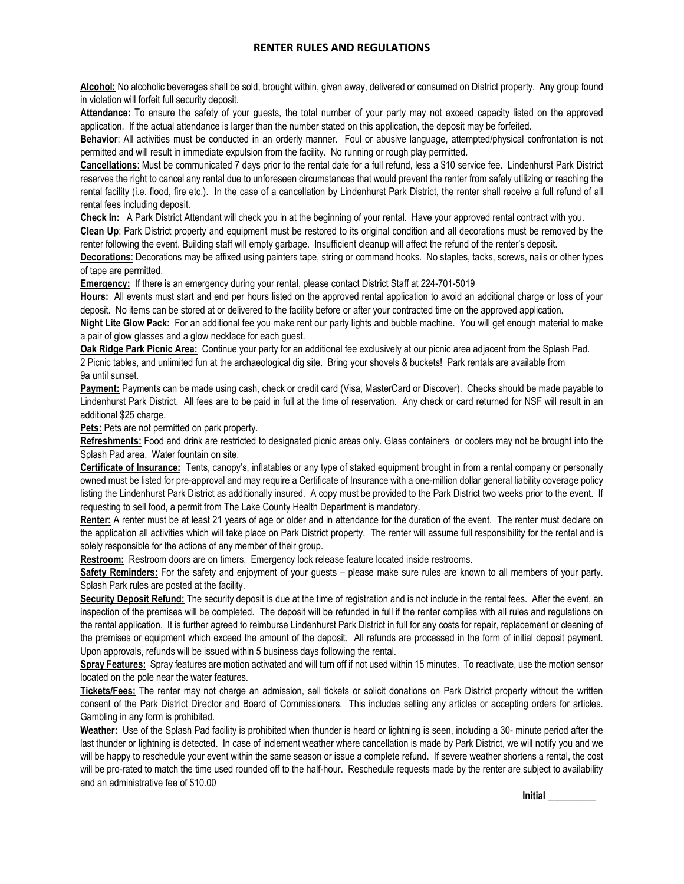## **RENTER RULES AND REGULATIONS**

**Alcohol:** No alcoholic beverages shall be sold, brought within, given away, delivered or consumed on District property. Any group found in violation will forfeit full security deposit.

**Attendance:** To ensure the safety of your guests, the total number of your party may not exceed capacity listed on the approved application. If the actual attendance is larger than the number stated on this application, the deposit may be forfeited.

**Behavior**: All activities must be conducted in an orderly manner. Foul or abusive language, attempted/physical confrontation is not permitted and will result in immediate expulsion from the facility. No running or rough play permitted.

**Cancellations**: Must be communicated 7 days prior to the rental date for a full refund, less a \$10 service fee. Lindenhurst Park District reserves the right to cancel any rental due to unforeseen circumstances that would prevent the renter from safely utilizing or reaching the rental facility (i.e. flood, fire etc.). In the case of a cancellation by Lindenhurst Park District, the renter shall receive a full refund of all rental fees including deposit.

**Check In:** A Park District Attendant will check you in at the beginning of your rental. Have your approved rental contract with you.

**Clean Up**: Park District property and equipment must be restored to its original condition and all decorations must be removed by the renter following the event. Building staff will empty garbage. Insufficient cleanup will affect the refund of the renter's deposit.

**Decorations**: Decorations may be affixed using painters tape, string or command hooks. No staples, tacks, screws, nails or other types of tape are permitted.

**Emergency:** If there is an emergency during your rental, please contact District Staff at 224-701-5019

**Hours:** All events must start and end per hours listed on the approved rental application to avoid an additional charge or loss of your deposit. No items can be stored at or delivered to the facility before or after your contracted time on the approved application.

**Night Lite Glow Pack:** For an additional fee you make rent our party lights and bubble machine. You will get enough material to make a pair of glow glasses and a glow necklace for each guest.

**Oak Ridge Park Picnic Area:** Continue your party for an additional fee exclusively at our picnic area adjacent from the Splash Pad. 2 Picnic tables, and unlimited fun at the archaeological dig site. Bring your shovels & buckets! Park rentals are available from 9a until sunset.

**Payment:** Payments can be made using cash, check or credit card (Visa, MasterCard or Discover). Checks should be made payable to Lindenhurst Park District. All fees are to be paid in full at the time of reservation. Any check or card returned for NSF will result in an additional \$25 charge.

**Pets:** Pets are not permitted on park property.

**Refreshments:** Food and drink are restricted to designated picnic areas only. Glass containers or coolers may not be brought into the Splash Pad area. Water fountain on site.

**Certificate of Insurance:** Tents, canopy's, inflatables or any type of staked equipment brought in from a rental company or personally owned must be listed for pre-approval and may require a Certificate of Insurance with a one-million dollar general liability coverage policy listing the Lindenhurst Park District as additionally insured. A copy must be provided to the Park District two weeks prior to the event. If requesting to sell food, a permit from The Lake County Health Department is mandatory.

**Renter:** A renter must be at least 21 years of age or older and in attendance for the duration of the event. The renter must declare on the application all activities which will take place on Park District property. The renter will assume full responsibility for the rental and is solely responsible for the actions of any member of their group.

Restroom: Restroom doors are on timers. Emergency lock release feature located inside restrooms.

**Safety Reminders:** For the safety and enjoyment of your guests – please make sure rules are known to all members of your party. Splash Park rules are posted at the facility.

**Security Deposit Refund:** The security deposit is due at the time of registration and is not include in the rental fees. After the event, an inspection of the premises will be completed. The deposit will be refunded in full if the renter complies with all rules and regulations on the rental application. It is further agreed to reimburse Lindenhurst Park District in full for any costs for repair, replacement or cleaning of the premises or equipment which exceed the amount of the deposit. All refunds are processed in the form of initial deposit payment. Upon approvals, refunds will be issued within 5 business days following the rental.

**Spray Features:** Spray features are motion activated and will turn off if not used within 15 minutes. To reactivate, use the motion sensor located on the pole near the water features.

**Tickets/Fees:** The renter may not charge an admission, sell tickets or solicit donations on Park District property without the written consent of the Park District Director and Board of Commissioners. This includes selling any articles or accepting orders for articles. Gambling in any form is prohibited.

**Weather:** Use of the Splash Pad facility is prohibited when thunder is heard or lightning is seen, including a 30- minute period after the last thunder or lightning is detected. In case of inclement weather where cancellation is made by Park District, we will notify you and we will be happy to reschedule your event within the same season or issue a complete refund. If severe weather shortens a rental, the cost will be pro-rated to match the time used rounded off to the half-hour. Reschedule requests made by the renter are subject to availability and an administrative fee of \$10.00

**Initial \_\_\_\_\_\_\_\_\_\_**